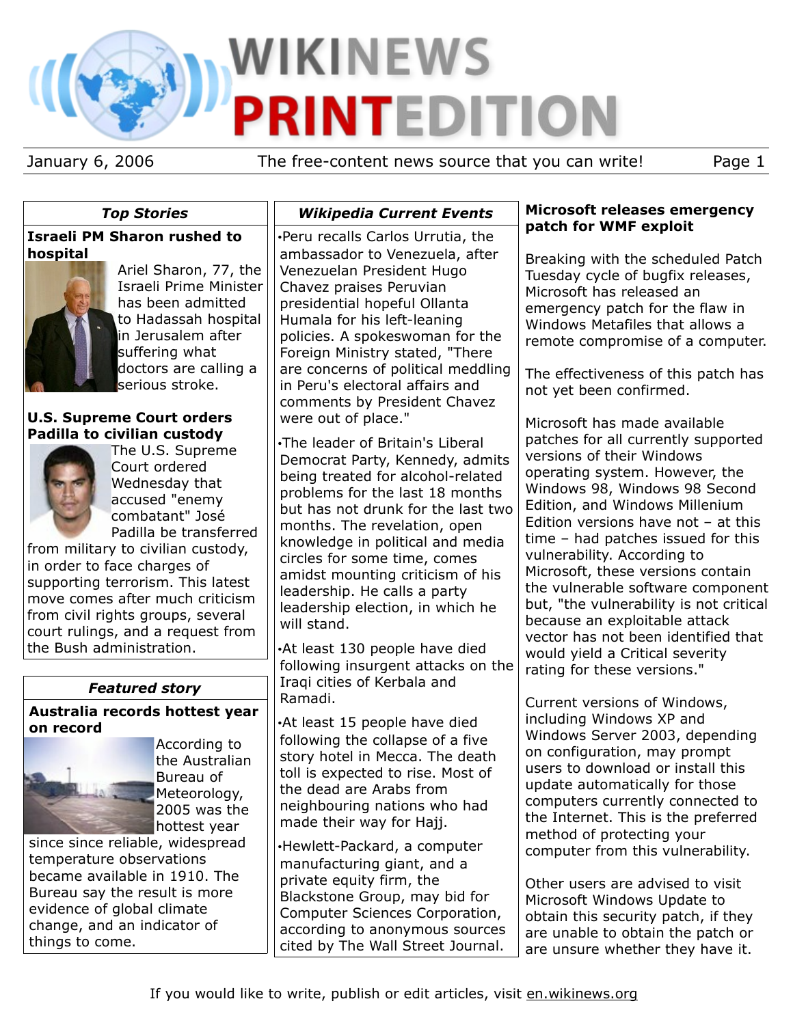# **WIKINEWS PRINTEDITION**

January 6, 2006 The free-content news source that you can write! Page 1

# *Top Stories*

# **Israeli PM Sharon rushed to hospital**



Ariel Sharon, 77, the Israeli Prime Minister has been admitted to Hadassah hospital in Jerusalem after suffering what doctors are calling a serious stroke.

# **U.S. Supreme Court orders Padilla to civilian custody**



The U.S. Supreme Court ordered Wednesday that accused "enemy combatant" José Padilla be transferred

from military to civilian custody, in order to face charges of supporting terrorism. This latest move comes after much criticism from civil rights groups, several court rulings, and a request from the Bush administration.

# *Featured story*

**Australia records hottest year on record**



According to the Australian Bureau of Meteorology, 2005 was the hottest year

since since reliable, widespread temperature observations became available in 1910. The Bureau say the result is more evidence of global climate change, and an indicator of things to come.

•Peru recalls Carlos Urrutia, the ambassador to Venezuela, after Venezuelan President Hugo Chavez praises Peruvian presidential hopeful Ollanta Humala for his left-leaning policies. A spokeswoman for the Foreign Ministry stated, "There are concerns of political meddling in Peru's electoral affairs and comments by President Chavez were out of place."

*Wikipedia Current Events*

•The leader of Britain's Liberal Democrat Party, Kennedy, admits being treated for alcohol-related problems for the last 18 months but has not drunk for the last two months. The revelation, open knowledge in political and media circles for some time, comes amidst mounting criticism of his leadership. He calls a party leadership election, in which he will stand.

•At least 130 people have died following insurgent attacks on the Iraqi cities of Kerbala and Ramadi.

•At least 15 people have died following the collapse of a five story hotel in Mecca. The death toll is expected to rise. Most of the dead are Arabs from neighbouring nations who had made their way for Hajj.

•Hewlett-Packard, a computer manufacturing giant, and a private equity firm, the Blackstone Group, may bid for Computer Sciences Corporation, according to anonymous sources cited by The Wall Street Journal.

### **Microsoft releases emergency patch for WMF exploit**

Breaking with the scheduled Patch Tuesday cycle of bugfix releases, Microsoft has released an emergency patch for the flaw in Windows Metafiles that allows a remote compromise of a computer.

The effectiveness of this patch has not yet been confirmed.

Microsoft has made available patches for all currently supported versions of their Windows operating system. However, the Windows 98, Windows 98 Second Edition, and Windows Millenium Edition versions have not – at this time – had patches issued for this vulnerability. According to Microsoft, these versions contain the vulnerable software component but, "the vulnerability is not critical because an exploitable attack vector has not been identified that would yield a Critical severity rating for these versions."

Current versions of Windows, including Windows XP and Windows Server 2003, depending on configuration, may prompt users to download or install this update automatically for those computers currently connected to the Internet. This is the preferred method of protecting your computer from this vulnerability.

Other users are advised to visit Microsoft Windows Update to obtain this security patch, if they are unable to obtain the patch or are unsure whether they have it.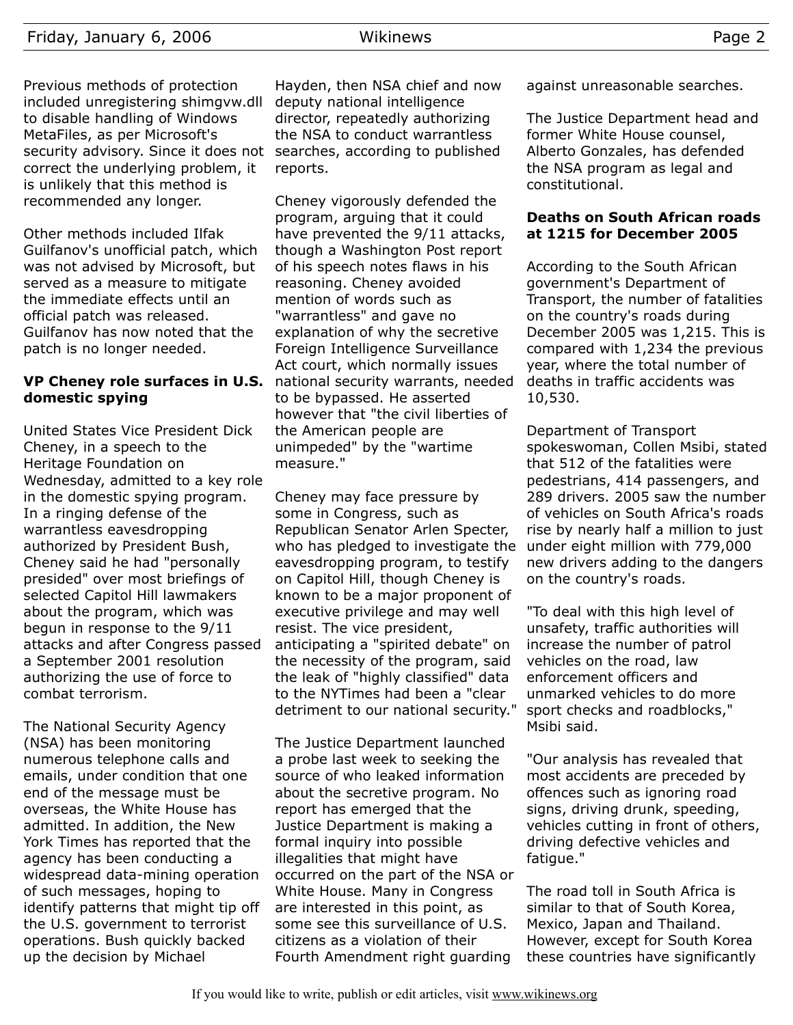Previous methods of protection included unregistering shimgvw.dll to disable handling of Windows MetaFiles, as per Microsoft's security advisory. Since it does not correct the underlying problem, it is unlikely that this method is recommended any longer.

Other methods included Ilfak Guilfanov's unofficial patch, which was not advised by Microsoft, but served as a measure to mitigate the immediate effects until an official patch was released. Guilfanov has now noted that the patch is no longer needed.

# **VP Cheney role surfaces in U.S. domestic spying**

United States Vice President Dick Cheney, in a speech to the Heritage Foundation on Wednesday, admitted to a key role in the domestic spying program. In a ringing defense of the warrantless eavesdropping authorized by President Bush, Cheney said he had "personally presided" over most briefings of selected Capitol Hill lawmakers about the program, which was begun in response to the 9/11 attacks and after Congress passed a September 2001 resolution authorizing the use of force to combat terrorism.

The National Security Agency (NSA) has been monitoring numerous telephone calls and emails, under condition that one end of the message must be overseas, the White House has admitted. In addition, the New York Times has reported that the agency has been conducting a widespread data-mining operation of such messages, hoping to identify patterns that might tip off the U.S. government to terrorist operations. Bush quickly backed up the decision by Michael

Hayden, then NSA chief and now deputy national intelligence director, repeatedly authorizing the NSA to conduct warrantless searches, according to published reports.

Cheney vigorously defended the program, arguing that it could have prevented the 9/11 attacks, though a Washington Post report of his speech notes flaws in his reasoning. Cheney avoided mention of words such as "warrantless" and gave no explanation of why the secretive Foreign Intelligence Surveillance Act court, which normally issues national security warrants, needed to be bypassed. He asserted however that "the civil liberties of the American people are unimpeded" by the "wartime measure."

Cheney may face pressure by some in Congress, such as Republican Senator Arlen Specter, who has pledged to investigate the eavesdropping program, to testify on Capitol Hill, though Cheney is known to be a major proponent of executive privilege and may well resist. The vice president, anticipating a "spirited debate" on the necessity of the program, said the leak of "highly classified" data to the NYTimes had been a "clear detriment to our national security."

The Justice Department launched a probe last week to seeking the source of who leaked information about the secretive program. No report has emerged that the Justice Department is making a formal inquiry into possible illegalities that might have occurred on the part of the NSA or White House. Many in Congress are interested in this point, as some see this surveillance of U.S. citizens as a violation of their Fourth Amendment right guarding

against unreasonable searches.

The Justice Department head and former White House counsel, Alberto Gonzales, has defended the NSA program as legal and constitutional.

#### **Deaths on South African roads at 1215 for December 2005**

According to the South African government's Department of Transport, the number of fatalities on the country's roads during December 2005 was 1,215. This is compared with 1,234 the previous year, where the total number of deaths in traffic accidents was 10,530.

Department of Transport spokeswoman, Collen Msibi, stated that 512 of the fatalities were pedestrians, 414 passengers, and 289 drivers. 2005 saw the number of vehicles on South Africa's roads rise by nearly half a million to just under eight million with 779,000 new drivers adding to the dangers on the country's roads.

"To deal with this high level of unsafety, traffic authorities will increase the number of patrol vehicles on the road, law enforcement officers and unmarked vehicles to do more sport checks and roadblocks," Msibi said.

"Our analysis has revealed that most accidents are preceded by offences such as ignoring road signs, driving drunk, speeding, vehicles cutting in front of others, driving defective vehicles and fatique."

The road toll in South Africa is similar to that of South Korea, Mexico, Japan and Thailand. However, except for South Korea these countries have significantly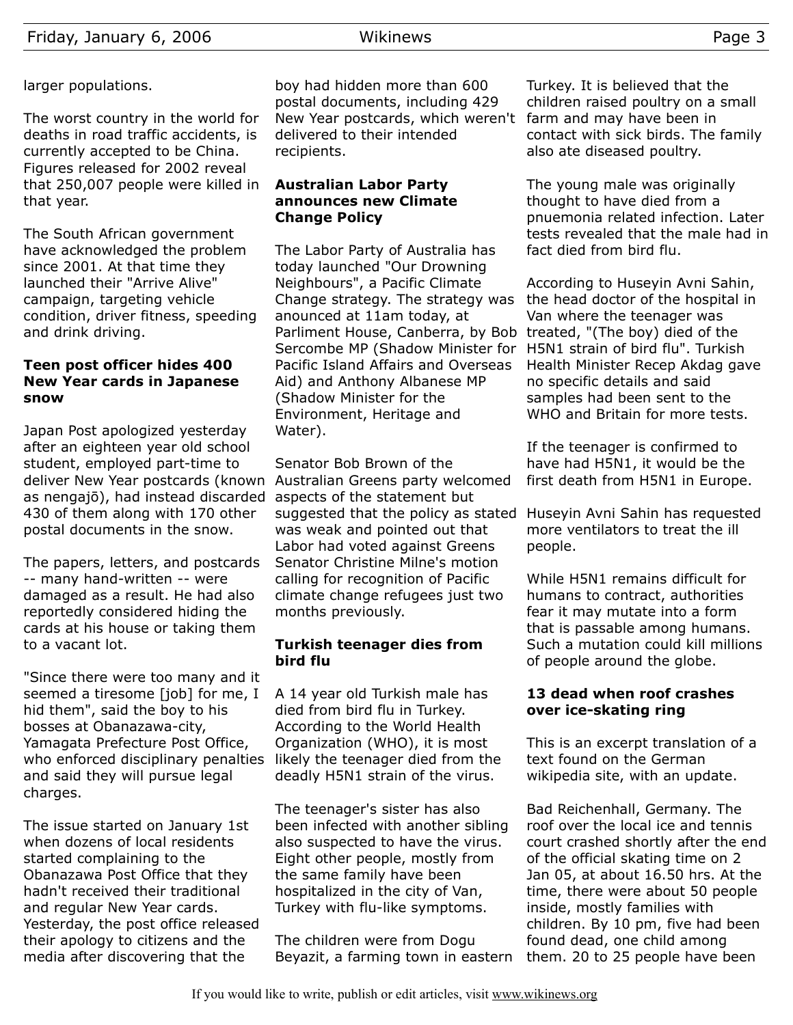# larger populations.

The worst country in the world for deaths in road traffic accidents, is currently accepted to be China. Figures released for 2002 reveal that 250,007 people were killed in that year.

The South African government have acknowledged the problem since 2001. At that time they launched their "Arrive Alive" campaign, targeting vehicle condition, driver fitness, speeding and drink driving.

## **Teen post officer hides 400 New Year cards in Japanese snow**

Japan Post apologized yesterday after an eighteen year old school student, employed part-time to deliver New Year postcards (known Australian Greens party welcomed as nengajō), had instead discarded aspects of the statement but 430 of them along with 170 other postal documents in the snow.

The papers, letters, and postcards -- many hand-written -- were damaged as a result. He had also reportedly considered hiding the cards at his house or taking them to a vacant lot.

"Since there were too many and it seemed a tiresome [job] for me, I hid them", said the boy to his bosses at Obanazawa-city, Yamagata Prefecture Post Office, who enforced disciplinary penalties likely the teenager died from the and said they will pursue legal charges.

The issue started on January 1st when dozens of local residents started complaining to the Obanazawa Post Office that they hadn't received their traditional and regular New Year cards. Yesterday, the post office released their apology to citizens and the media after discovering that the

boy had hidden more than 600 postal documents, including 429 New Year postcards, which weren't delivered to their intended recipients.

## **Australian Labor Party announces new Climate Change Policy**

The Labor Party of Australia has today launched "Our Drowning Neighbours", a Pacific Climate Change strategy. The strategy was anounced at 11am today, at Parliment House, Canberra, by Bob treated, "(The boy) died of the Sercombe MP (Shadow Minister for Pacific Island Affairs and Overseas Aid) and Anthony Albanese MP (Shadow Minister for the Environment, Heritage and Water).

Senator Bob Brown of the suggested that the policy as stated Huseyin Avni Sahin has requested was weak and pointed out that Labor had voted against Greens Senator Christine Milne's motion calling for recognition of Pacific climate change refugees just two months previously.

## **Turkish teenager dies from bird flu**

A 14 year old Turkish male has died from bird flu in Turkey. According to the World Health Organization (WHO), it is most deadly H5N1 strain of the virus.

The teenager's sister has also been infected with another sibling also suspected to have the virus. Eight other people, mostly from the same family have been hospitalized in the city of Van, Turkey with flu-like symptoms.

The children were from Dogu Beyazit, a farming town in eastern

Turkey. It is believed that the children raised poultry on a small farm and may have been in contact with sick birds. The family also ate diseased poultry.

The young male was originally thought to have died from a pnuemonia related infection. Later tests revealed that the male had in fact died from bird flu.

According to Huseyin Avni Sahin, the head doctor of the hospital in Van where the teenager was H5N1 strain of bird flu". Turkish Health Minister Recep Akdag gave no specific details and said samples had been sent to the WHO and Britain for more tests.

If the teenager is confirmed to have had H5N1, it would be the first death from H5N1 in Europe.

more ventilators to treat the ill people.

While H5N1 remains difficult for humans to contract, authorities fear it may mutate into a form that is passable among humans. Such a mutation could kill millions of people around the globe.

## **13 dead when roof crashes over ice-skating ring**

This is an excerpt translation of a text found on the German wikipedia site, with an update.

Bad Reichenhall, Germany. The roof over the local ice and tennis court crashed shortly after the end of the official skating time on 2 Jan 05, at about 16.50 hrs. At the time, there were about 50 people inside, mostly families with children. By 10 pm, five had been found dead, one child among them. 20 to 25 people have been